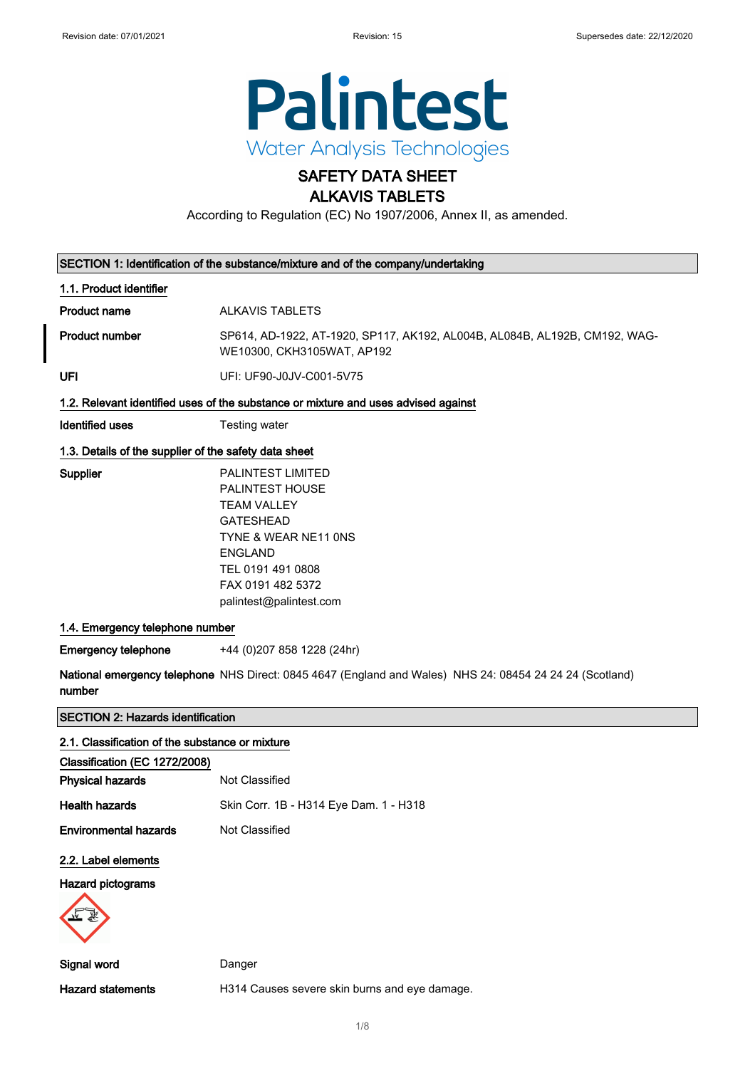

## SAFETY DATA SHEET ALKAVIS TABLETS

According to Regulation (EC) No 1907/2006, Annex II, as amended.

|                                                       | SECTION 1: Identification of the substance/mixture and of the company/undertaking                                                                                                                    |  |
|-------------------------------------------------------|------------------------------------------------------------------------------------------------------------------------------------------------------------------------------------------------------|--|
| 1.1. Product identifier                               |                                                                                                                                                                                                      |  |
| <b>Product name</b>                                   | <b>ALKAVIS TABLETS</b>                                                                                                                                                                               |  |
| <b>Product number</b>                                 | SP614, AD-1922, AT-1920, SP117, AK192, AL004B, AL084B, AL192B, CM192, WAG-<br>WE10300, CKH3105WAT, AP192                                                                                             |  |
| UFI                                                   | UFI: UF90-J0JV-C001-5V75                                                                                                                                                                             |  |
|                                                       | 1.2. Relevant identified uses of the substance or mixture and uses advised against                                                                                                                   |  |
| <b>Identified uses</b>                                | Testing water                                                                                                                                                                                        |  |
| 1.3. Details of the supplier of the safety data sheet |                                                                                                                                                                                                      |  |
| Supplier                                              | <b>PALINTEST LIMITED</b><br>PALINTEST HOUSE<br><b>TEAM VALLEY</b><br><b>GATESHEAD</b><br>TYNE & WEAR NE11 ONS<br><b>ENGLAND</b><br>TEL 0191 491 0808<br>FAX 0191 482 5372<br>palintest@palintest.com |  |
| 1.4. Emergency telephone number                       |                                                                                                                                                                                                      |  |
| <b>Emergency telephone</b>                            | +44 (0)207 858 1228 (24hr)                                                                                                                                                                           |  |
| number                                                | National emergency telephone NHS Direct: 0845 4647 (England and Wales) NHS 24: 08454 24 24 24 (Scotland)                                                                                             |  |
| <b>SECTION 2: Hazards identification</b>              |                                                                                                                                                                                                      |  |
| 2.1. Classification of the substance or mixture       |                                                                                                                                                                                                      |  |
| Classification (EC 1272/2008)                         |                                                                                                                                                                                                      |  |
| <b>Physical hazards</b>                               | Not Classified                                                                                                                                                                                       |  |
| <b>Health hazards</b>                                 | Skin Corr. 1B - H314 Eye Dam. 1 - H318                                                                                                                                                               |  |
| <b>Environmental hazards</b>                          | Not Classified                                                                                                                                                                                       |  |
| 2.2. Label elements                                   |                                                                                                                                                                                                      |  |
| Hazard pictograms                                     |                                                                                                                                                                                                      |  |
| Signal word                                           | Danger                                                                                                                                                                                               |  |
| <b>Hazard statements</b>                              | H314 Causes severe skin burns and eye damage.                                                                                                                                                        |  |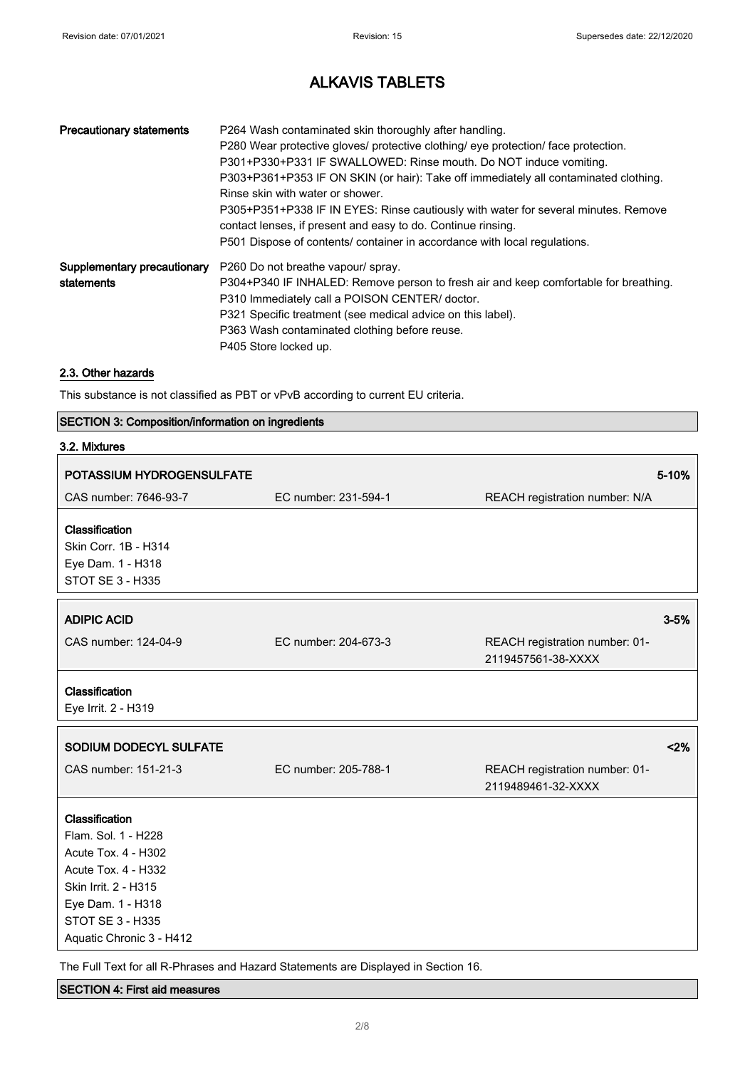| <b>Precautionary statements</b> | P264 Wash contaminated skin thoroughly after handling.<br>P280 Wear protective gloves/ protective clothing/ eye protection/ face protection.<br>P301+P330+P331 IF SWALLOWED: Rinse mouth. Do NOT induce vomiting.<br>P303+P361+P353 IF ON SKIN (or hair): Take off immediately all contaminated clothing.<br>Rinse skin with water or shower.<br>P305+P351+P338 IF IN EYES: Rinse cautiously with water for several minutes. Remove<br>contact lenses, if present and easy to do. Continue rinsing.<br>P501 Dispose of contents/ container in accordance with local regulations. |
|---------------------------------|----------------------------------------------------------------------------------------------------------------------------------------------------------------------------------------------------------------------------------------------------------------------------------------------------------------------------------------------------------------------------------------------------------------------------------------------------------------------------------------------------------------------------------------------------------------------------------|
| Supplementary precautionary     | P260 Do not breathe vapour/ spray.                                                                                                                                                                                                                                                                                                                                                                                                                                                                                                                                               |
| statements                      | P304+P340 IF INHALED: Remove person to fresh air and keep comfortable for breathing.                                                                                                                                                                                                                                                                                                                                                                                                                                                                                             |
|                                 | P310 Immediately call a POISON CENTER/ doctor.                                                                                                                                                                                                                                                                                                                                                                                                                                                                                                                                   |
|                                 | P321 Specific treatment (see medical advice on this label).                                                                                                                                                                                                                                                                                                                                                                                                                                                                                                                      |
|                                 | P363 Wash contaminated clothing before reuse.                                                                                                                                                                                                                                                                                                                                                                                                                                                                                                                                    |
|                                 | P405 Store locked up.                                                                                                                                                                                                                                                                                                                                                                                                                                                                                                                                                            |

### 2.3. Other hazards

This substance is not classified as PBT or vPvB according to current EU criteria.

#### SECTION 3: Composition/information on ingredients

| 3.2. Mixtures                                                                                                                                                                                  |                      |                                                      |          |
|------------------------------------------------------------------------------------------------------------------------------------------------------------------------------------------------|----------------------|------------------------------------------------------|----------|
| POTASSIUM HYDROGENSULFATE                                                                                                                                                                      |                      |                                                      | 5-10%    |
| CAS number: 7646-93-7                                                                                                                                                                          | EC number: 231-594-1 | REACH registration number: N/A                       |          |
| Classification<br>Skin Corr. 1B - H314<br>Eye Dam. 1 - H318<br><b>STOT SE 3 - H335</b>                                                                                                         |                      |                                                      |          |
| <b>ADIPIC ACID</b>                                                                                                                                                                             |                      |                                                      | $3 - 5%$ |
| CAS number: 124-04-9                                                                                                                                                                           | EC number: 204-673-3 | REACH registration number: 01-<br>2119457561-38-XXXX |          |
| Classification<br>Eye Irrit. 2 - H319                                                                                                                                                          |                      |                                                      |          |
| SODIUM DODECYL SULFATE                                                                                                                                                                         |                      |                                                      | 2%       |
| CAS number: 151-21-3                                                                                                                                                                           | EC number: 205-788-1 | REACH registration number: 01-<br>2119489461-32-XXXX |          |
| Classification<br>Flam, Sol. 1 - H228<br>Acute Tox. 4 - H302<br><b>Acute Tox. 4 - H332</b><br>Skin Irrit. 2 - H315<br>Eye Dam. 1 - H318<br><b>STOT SE 3 - H335</b><br>Aquatic Chronic 3 - H412 |                      |                                                      |          |

The Full Text for all R-Phrases and Hazard Statements are Displayed in Section 16.

#### SECTION 4: First aid measures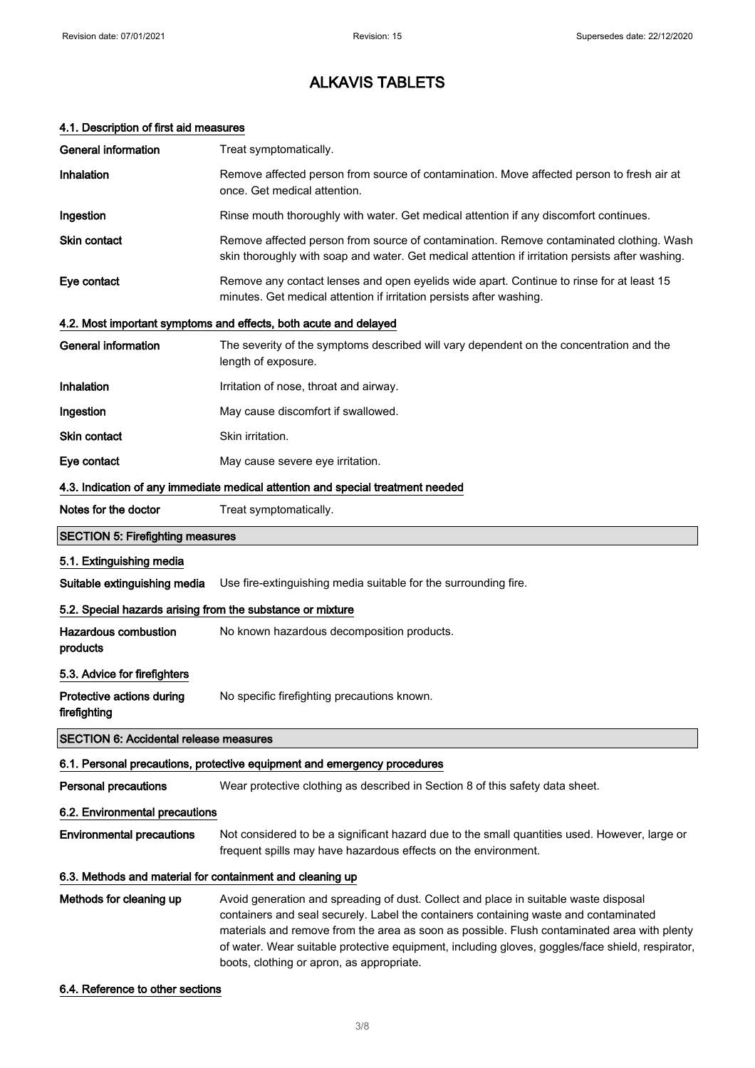| 4.1. Description of first aid measures                     |                                                                                                                                                                                                                                                                                                                                                                                                                              |  |
|------------------------------------------------------------|------------------------------------------------------------------------------------------------------------------------------------------------------------------------------------------------------------------------------------------------------------------------------------------------------------------------------------------------------------------------------------------------------------------------------|--|
| <b>General information</b>                                 | Treat symptomatically.                                                                                                                                                                                                                                                                                                                                                                                                       |  |
| Inhalation                                                 | Remove affected person from source of contamination. Move affected person to fresh air at<br>once. Get medical attention.                                                                                                                                                                                                                                                                                                    |  |
| Ingestion                                                  | Rinse mouth thoroughly with water. Get medical attention if any discomfort continues.                                                                                                                                                                                                                                                                                                                                        |  |
| Skin contact                                               | Remove affected person from source of contamination. Remove contaminated clothing. Wash<br>skin thoroughly with soap and water. Get medical attention if irritation persists after washing.                                                                                                                                                                                                                                  |  |
| Eye contact                                                | Remove any contact lenses and open eyelids wide apart. Continue to rinse for at least 15<br>minutes. Get medical attention if irritation persists after washing.                                                                                                                                                                                                                                                             |  |
|                                                            | 4.2. Most important symptoms and effects, both acute and delayed                                                                                                                                                                                                                                                                                                                                                             |  |
| <b>General information</b>                                 | The severity of the symptoms described will vary dependent on the concentration and the<br>length of exposure.                                                                                                                                                                                                                                                                                                               |  |
| Inhalation                                                 | Irritation of nose, throat and airway.                                                                                                                                                                                                                                                                                                                                                                                       |  |
| Ingestion                                                  | May cause discomfort if swallowed.                                                                                                                                                                                                                                                                                                                                                                                           |  |
| Skin contact                                               | Skin irritation.                                                                                                                                                                                                                                                                                                                                                                                                             |  |
| Eye contact                                                | May cause severe eye irritation.                                                                                                                                                                                                                                                                                                                                                                                             |  |
|                                                            | 4.3. Indication of any immediate medical attention and special treatment needed                                                                                                                                                                                                                                                                                                                                              |  |
| Notes for the doctor                                       | Treat symptomatically.                                                                                                                                                                                                                                                                                                                                                                                                       |  |
| <b>SECTION 5: Firefighting measures</b>                    |                                                                                                                                                                                                                                                                                                                                                                                                                              |  |
| 5.1. Extinguishing media                                   |                                                                                                                                                                                                                                                                                                                                                                                                                              |  |
| Suitable extinguishing media                               | Use fire-extinguishing media suitable for the surrounding fire.                                                                                                                                                                                                                                                                                                                                                              |  |
| 5.2. Special hazards arising from the substance or mixture |                                                                                                                                                                                                                                                                                                                                                                                                                              |  |
| <b>Hazardous combustion</b><br>products                    | No known hazardous decomposition products.                                                                                                                                                                                                                                                                                                                                                                                   |  |
| 5.3. Advice for firefighters                               |                                                                                                                                                                                                                                                                                                                                                                                                                              |  |
| Protective actions during<br>firefighting                  | No specific firefighting precautions known.                                                                                                                                                                                                                                                                                                                                                                                  |  |
| <b>SECTION 6: Accidental release measures</b>              |                                                                                                                                                                                                                                                                                                                                                                                                                              |  |
|                                                            | 6.1. Personal precautions, protective equipment and emergency procedures                                                                                                                                                                                                                                                                                                                                                     |  |
| <b>Personal precautions</b>                                | Wear protective clothing as described in Section 8 of this safety data sheet.                                                                                                                                                                                                                                                                                                                                                |  |
| 6.2. Environmental precautions                             |                                                                                                                                                                                                                                                                                                                                                                                                                              |  |
| <b>Environmental precautions</b>                           | Not considered to be a significant hazard due to the small quantities used. However, large or<br>frequent spills may have hazardous effects on the environment.                                                                                                                                                                                                                                                              |  |
| 6.3. Methods and material for containment and cleaning up  |                                                                                                                                                                                                                                                                                                                                                                                                                              |  |
| Methods for cleaning up                                    | Avoid generation and spreading of dust. Collect and place in suitable waste disposal<br>containers and seal securely. Label the containers containing waste and contaminated<br>materials and remove from the area as soon as possible. Flush contaminated area with plenty<br>of water. Wear suitable protective equipment, including gloves, goggles/face shield, respirator,<br>boots, clothing or apron, as appropriate. |  |

#### 6.4. Reference to other sections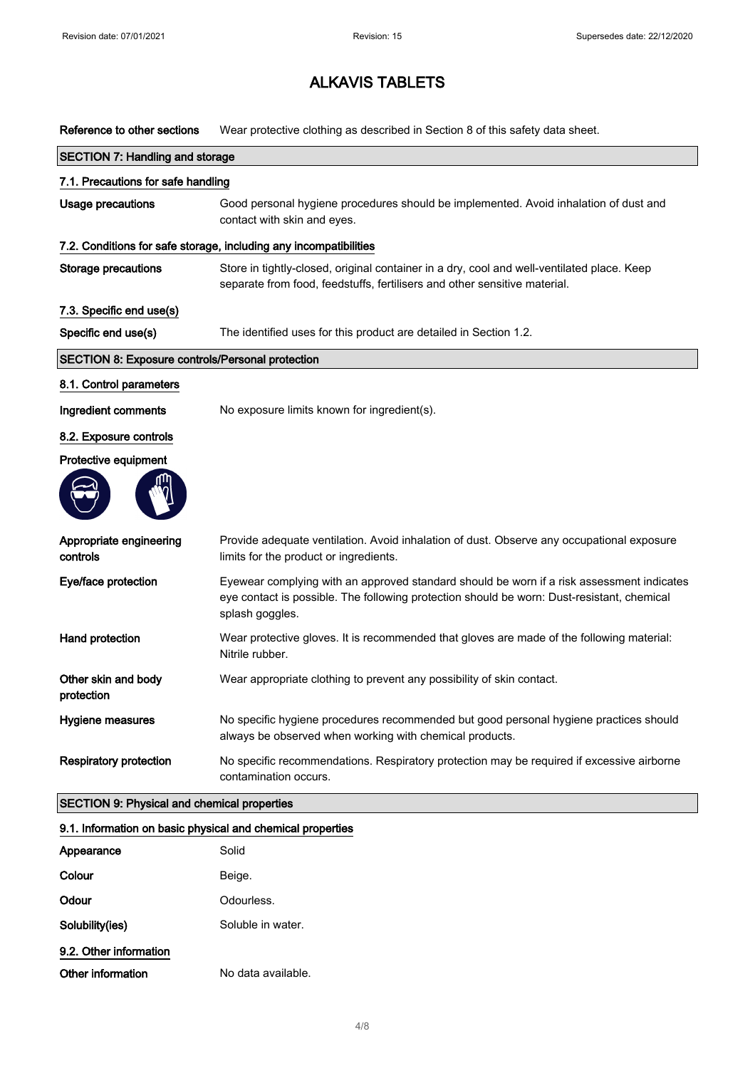Reference to other sections Wear protective clothing as described in Section 8 of this safety data sheet.

|                                                            | <b>SECTION 7: Handling and storage</b>                                                                                                                                                                     |  |  |  |
|------------------------------------------------------------|------------------------------------------------------------------------------------------------------------------------------------------------------------------------------------------------------------|--|--|--|
| 7.1. Precautions for safe handling                         |                                                                                                                                                                                                            |  |  |  |
| <b>Usage precautions</b>                                   | Good personal hygiene procedures should be implemented. Avoid inhalation of dust and<br>contact with skin and eyes.                                                                                        |  |  |  |
|                                                            | 7.2. Conditions for safe storage, including any incompatibilities                                                                                                                                          |  |  |  |
| <b>Storage precautions</b>                                 | Store in tightly-closed, original container in a dry, cool and well-ventilated place. Keep<br>separate from food, feedstuffs, fertilisers and other sensitive material.                                    |  |  |  |
| 7.3. Specific end use(s)                                   |                                                                                                                                                                                                            |  |  |  |
| Specific end use(s)                                        | The identified uses for this product are detailed in Section 1.2.                                                                                                                                          |  |  |  |
| <b>SECTION 8: Exposure controls/Personal protection</b>    |                                                                                                                                                                                                            |  |  |  |
| 8.1. Control parameters                                    |                                                                                                                                                                                                            |  |  |  |
| Ingredient comments                                        | No exposure limits known for ingredient(s).                                                                                                                                                                |  |  |  |
| 8.2. Exposure controls                                     |                                                                                                                                                                                                            |  |  |  |
| Protective equipment                                       |                                                                                                                                                                                                            |  |  |  |
|                                                            |                                                                                                                                                                                                            |  |  |  |
| Appropriate engineering<br>controls                        | Provide adequate ventilation. Avoid inhalation of dust. Observe any occupational exposure<br>limits for the product or ingredients.                                                                        |  |  |  |
| Eye/face protection                                        | Eyewear complying with an approved standard should be worn if a risk assessment indicates<br>eye contact is possible. The following protection should be worn: Dust-resistant, chemical<br>splash goggles. |  |  |  |
| Hand protection                                            | Wear protective gloves. It is recommended that gloves are made of the following material:<br>Nitrile rubber.                                                                                               |  |  |  |
| Other skin and body<br>protection                          | Wear appropriate clothing to prevent any possibility of skin contact.                                                                                                                                      |  |  |  |
| Hygiene measures                                           | No specific hygiene procedures recommended but good personal hygiene practices should<br>always be observed when working with chemical products.                                                           |  |  |  |
| <b>Respiratory protection</b>                              | No specific recommendations. Respiratory protection may be required if excessive airborne<br>contamination occurs.                                                                                         |  |  |  |
| <b>SECTION 9: Physical and chemical properties</b>         |                                                                                                                                                                                                            |  |  |  |
| 9.1. Information on basic physical and chemical properties |                                                                                                                                                                                                            |  |  |  |
| Appearance                                                 | Solid                                                                                                                                                                                                      |  |  |  |
| Colour                                                     | Beige.                                                                                                                                                                                                     |  |  |  |

9.2. Other information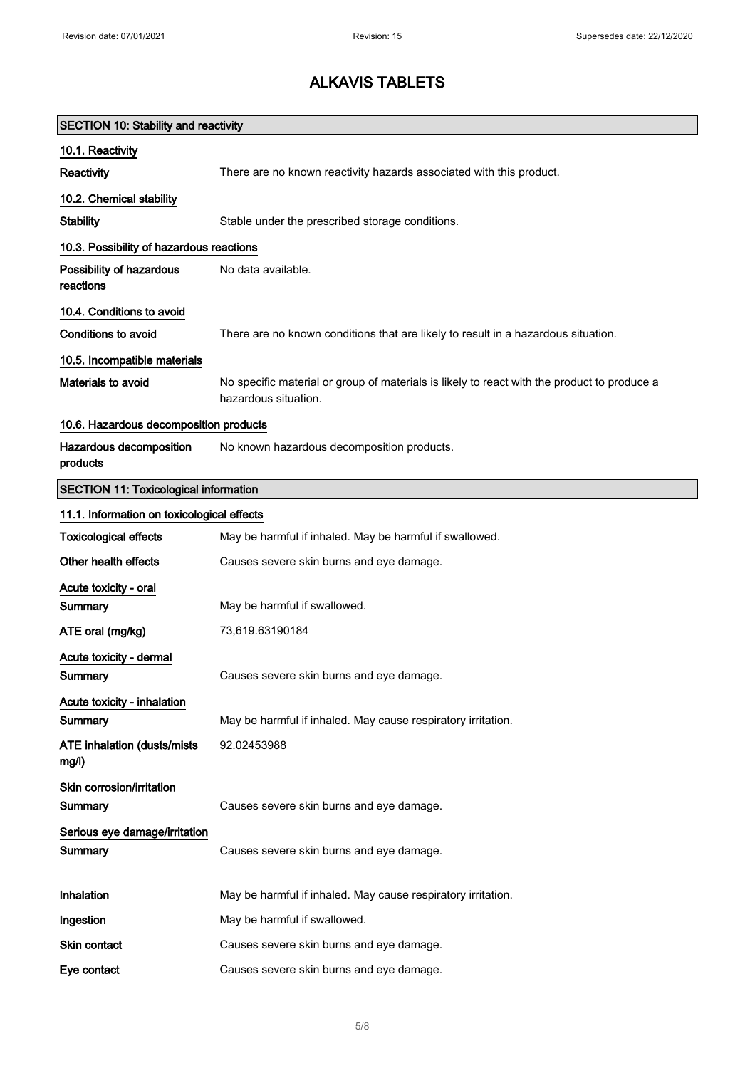| <b>SECTION 10: Stability and reactivity</b>  |                                                                                                                     |  |  |
|----------------------------------------------|---------------------------------------------------------------------------------------------------------------------|--|--|
| 10.1. Reactivity                             |                                                                                                                     |  |  |
| Reactivity                                   | There are no known reactivity hazards associated with this product.                                                 |  |  |
| 10.2. Chemical stability                     |                                                                                                                     |  |  |
| <b>Stability</b>                             | Stable under the prescribed storage conditions.                                                                     |  |  |
| 10.3. Possibility of hazardous reactions     |                                                                                                                     |  |  |
| Possibility of hazardous<br>reactions        | No data available.                                                                                                  |  |  |
| 10.4. Conditions to avoid                    |                                                                                                                     |  |  |
| <b>Conditions to avoid</b>                   | There are no known conditions that are likely to result in a hazardous situation.                                   |  |  |
| 10.5. Incompatible materials                 |                                                                                                                     |  |  |
| <b>Materials to avoid</b>                    | No specific material or group of materials is likely to react with the product to produce a<br>hazardous situation. |  |  |
| 10.6. Hazardous decomposition products       |                                                                                                                     |  |  |
| Hazardous decomposition<br>products          | No known hazardous decomposition products.                                                                          |  |  |
| <b>SECTION 11: Toxicological information</b> |                                                                                                                     |  |  |
| 11.1. Information on toxicological effects   |                                                                                                                     |  |  |
| <b>Toxicological effects</b>                 | May be harmful if inhaled. May be harmful if swallowed.                                                             |  |  |
| Other health effects                         | Causes severe skin burns and eye damage.                                                                            |  |  |
| Acute toxicity - oral<br><b>Summary</b>      | May be harmful if swallowed.                                                                                        |  |  |
| ATE oral (mg/kg)                             | 73,619.63190184                                                                                                     |  |  |
| Acute toxicity - dermal<br>Summary           | Causes severe skin burns and eye damage.                                                                            |  |  |
| Acute toxicity - inhalation                  |                                                                                                                     |  |  |
| Summary                                      | May be harmful if inhaled. May cause respiratory irritation.                                                        |  |  |
| <b>ATE inhalation (dusts/mists)</b><br>mg/l) | 92.02453988                                                                                                         |  |  |
| Skin corrosion/irritation<br>Summary         | Causes severe skin burns and eye damage.                                                                            |  |  |
| Serious eye damage/irritation                |                                                                                                                     |  |  |
| Summary                                      | Causes severe skin burns and eye damage.                                                                            |  |  |
| Inhalation                                   | May be harmful if inhaled. May cause respiratory irritation.                                                        |  |  |
| Ingestion                                    | May be harmful if swallowed.                                                                                        |  |  |
| Skin contact                                 | Causes severe skin burns and eye damage.                                                                            |  |  |
| Eye contact                                  | Causes severe skin burns and eye damage.                                                                            |  |  |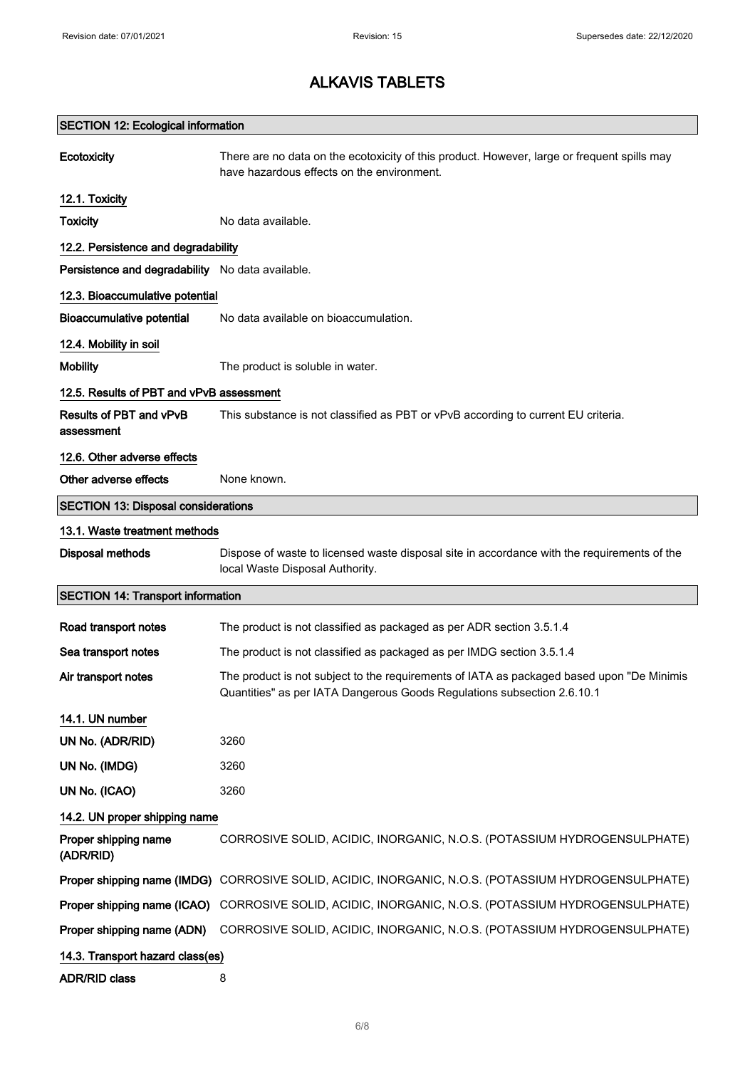| <b>SECTION 12: Ecological information</b>        |                                                                                                                                                                      |  |  |
|--------------------------------------------------|----------------------------------------------------------------------------------------------------------------------------------------------------------------------|--|--|
| Ecotoxicity                                      | There are no data on the ecotoxicity of this product. However, large or frequent spills may<br>have hazardous effects on the environment.                            |  |  |
| 12.1. Toxicity                                   |                                                                                                                                                                      |  |  |
| <b>Toxicity</b>                                  | No data available.                                                                                                                                                   |  |  |
| 12.2. Persistence and degradability              |                                                                                                                                                                      |  |  |
| Persistence and degradability No data available. |                                                                                                                                                                      |  |  |
| 12.3. Bioaccumulative potential                  |                                                                                                                                                                      |  |  |
| <b>Bioaccumulative potential</b>                 | No data available on bioaccumulation.                                                                                                                                |  |  |
| 12.4. Mobility in soil                           |                                                                                                                                                                      |  |  |
| <b>Mobility</b>                                  | The product is soluble in water.                                                                                                                                     |  |  |
| 12.5. Results of PBT and vPvB assessment         |                                                                                                                                                                      |  |  |
| Results of PBT and vPvB<br>assessment            | This substance is not classified as PBT or vPvB according to current EU criteria.                                                                                    |  |  |
| 12.6. Other adverse effects                      |                                                                                                                                                                      |  |  |
| Other adverse effects                            | None known.                                                                                                                                                          |  |  |
| <b>SECTION 13: Disposal considerations</b>       |                                                                                                                                                                      |  |  |
| 13.1. Waste treatment methods                    |                                                                                                                                                                      |  |  |
| <b>Disposal methods</b>                          | Dispose of waste to licensed waste disposal site in accordance with the requirements of the<br>local Waste Disposal Authority.                                       |  |  |
| <b>SECTION 14: Transport information</b>         |                                                                                                                                                                      |  |  |
| Road transport notes                             | The product is not classified as packaged as per ADR section 3.5.1.4                                                                                                 |  |  |
| Sea transport notes                              | The product is not classified as packaged as per IMDG section 3.5.1.4                                                                                                |  |  |
| Air transport notes                              | The product is not subject to the requirements of IATA as packaged based upon "De Minimis<br>Quantities" as per IATA Dangerous Goods Regulations subsection 2.6.10.1 |  |  |
| 14.1. UN number                                  |                                                                                                                                                                      |  |  |
| UN No. (ADR/RID)                                 | 3260                                                                                                                                                                 |  |  |
| UN No. (IMDG)                                    | 3260                                                                                                                                                                 |  |  |
| UN No. (ICAO)                                    | 3260                                                                                                                                                                 |  |  |
| 14.2. UN proper shipping name                    |                                                                                                                                                                      |  |  |
| Proper shipping name<br>(ADR/RID)                | CORROSIVE SOLID, ACIDIC, INORGANIC, N.O.S. (POTASSIUM HYDROGENSULPHATE)                                                                                              |  |  |
|                                                  | Proper shipping name (IMDG) CORROSIVE SOLID, ACIDIC, INORGANIC, N.O.S. (POTASSIUM HYDROGENSULPHATE)                                                                  |  |  |
|                                                  | Proper shipping name (ICAO) CORROSIVE SOLID, ACIDIC, INORGANIC, N.O.S. (POTASSIUM HYDROGENSULPHATE)                                                                  |  |  |
| Proper shipping name (ADN)                       | CORROSIVE SOLID, ACIDIC, INORGANIC, N.O.S. (POTASSIUM HYDROGENSULPHATE)                                                                                              |  |  |
| 14.3. Transport hazard class(es)                 |                                                                                                                                                                      |  |  |
| <b>ADR/RID class</b>                             | 8                                                                                                                                                                    |  |  |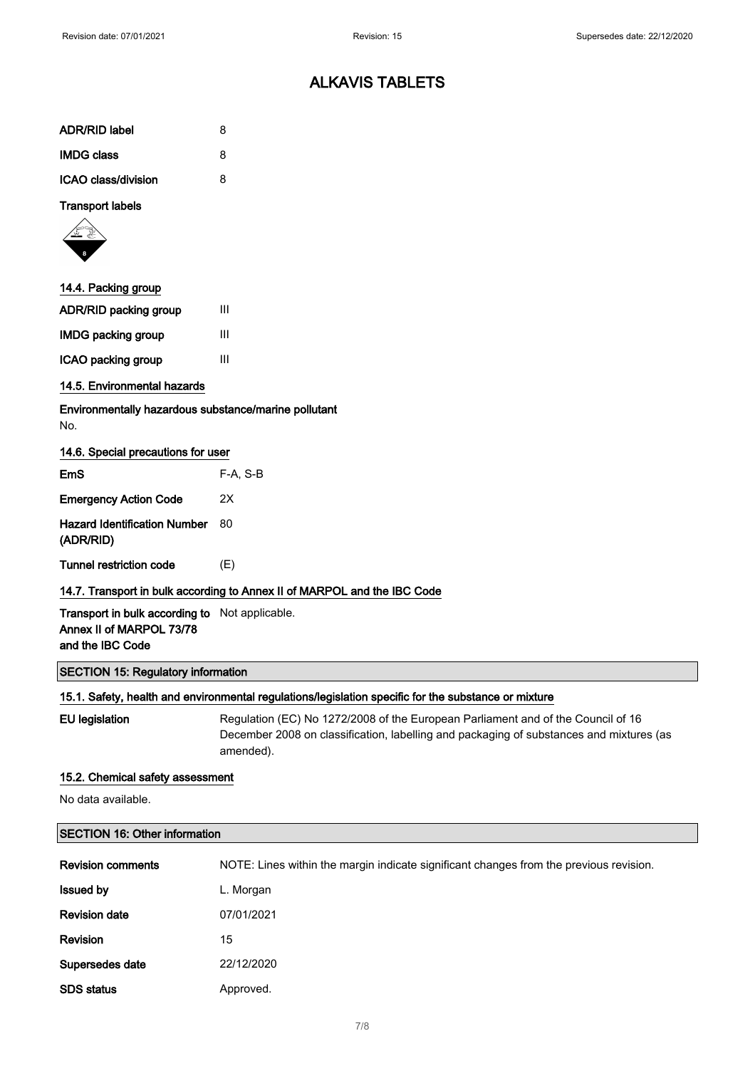| ADR/RID label           | 8 |
|-------------------------|---|
| <b>IMDG class</b>       | 8 |
| ICAO class/division     | 8 |
| <b>Transport labels</b> |   |



| 14.4. Packing group          |   |
|------------------------------|---|
| <b>ADR/RID packing group</b> | Ш |
| <b>IMDG packing group</b>    | ш |
| ICAO packing group           | ш |

### 14.5. Environmental hazards

Environmentally hazardous substance/marine pollutant No.

|  | 14.6. Special precautions for user |  |  |
|--|------------------------------------|--|--|
|  |                                    |  |  |

| <b>Tunnel restriction code</b>                   | (E)        |
|--------------------------------------------------|------------|
| <b>Hazard Identification Number</b><br>(ADR/RID) | 80         |
| <b>Emergency Action Code</b>                     | 2X         |
| EmS                                              | $F-A. S-B$ |

Transport in bulk according to Not applicable. Annex II of MARPOL 73/78 and the IBC Code

### SECTION 15: Regulatory information

#### 15.1. Safety, health and environmental regulations/legislation specific for the substance or mixture

EU legislation Regulation (EC) No 1272/2008 of the European Parliament and of the Council of 16 December 2008 on classification, labelling and packaging of substances and mixtures (as amended).

#### 15.2. Chemical safety assessment

No data available.

| <b>SECTION 16: Other information</b> |                                                                                        |  |
|--------------------------------------|----------------------------------------------------------------------------------------|--|
| <b>Revision comments</b>             | NOTE: Lines within the margin indicate significant changes from the previous revision. |  |
| <b>Issued by</b>                     | L. Morgan                                                                              |  |
| <b>Revision date</b>                 | 07/01/2021                                                                             |  |
| Revision                             | 15                                                                                     |  |
| Supersedes date                      | 22/12/2020                                                                             |  |
| <b>SDS</b> status                    | Approved.                                                                              |  |